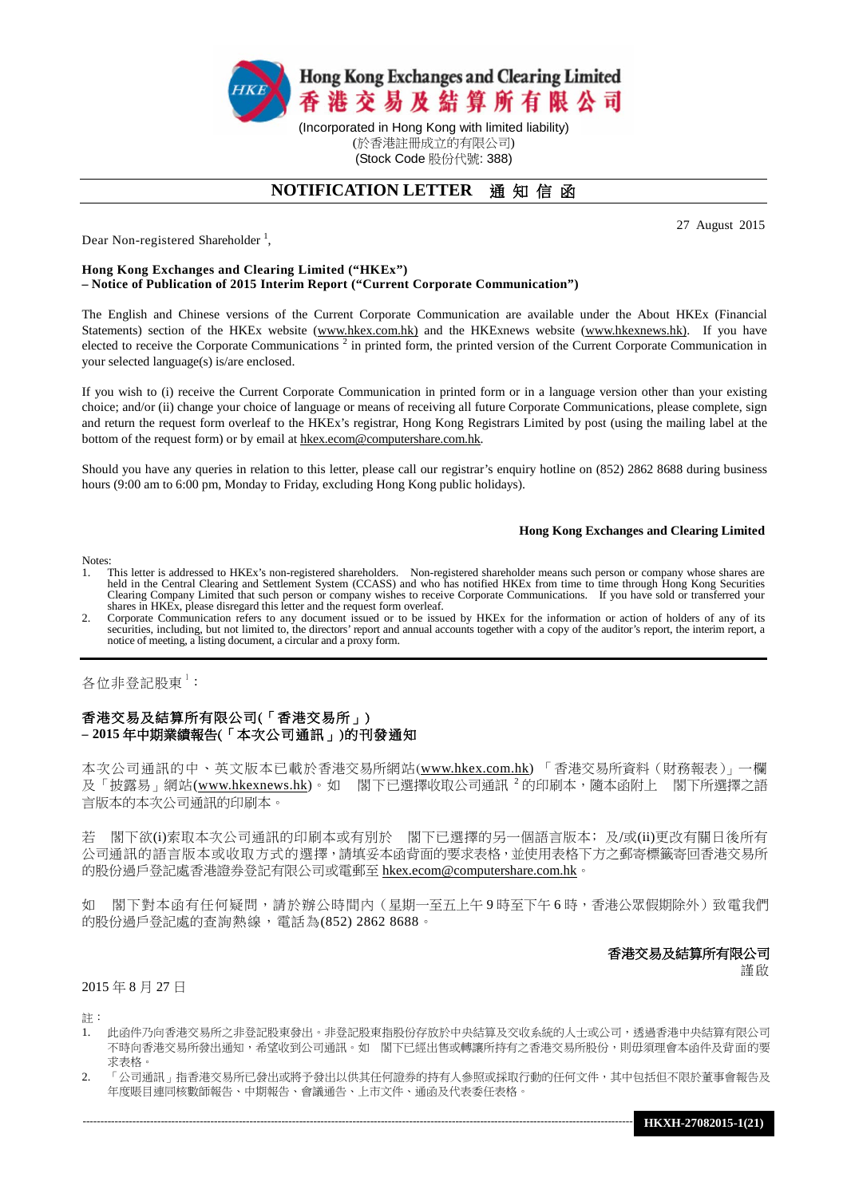

(於香港註冊成立的有限公司) (Stock Code 股份代號: 388)

# **NOTIFICATION LETTER** 通 知 信 函

27 August 2015

Dear Non-registered Shareholder<sup>1</sup>,

#### **Hong Kong Exchanges and Clearing Limited ("HKEx") – Notice of Publication of 2015 Interim Report ("Current Corporate Communication")**

The English and Chinese versions of the Current Corporate Communication are available under the About HKEx (Financial Statements) section of the HKEx website [\(www.hkex.com.hk\)](http://www.hkex.com.hk/) and the HKExnews website [\(www.hkexnews.hk\)](http://www.hkexnews.hk/). If you have elected to receive the Corporate Communications<sup>2</sup> in printed form, the printed version of the Current Corporate Communication in your selected language(s) is/are enclosed.

If you wish to (i) receive the Current Corporate Communication in printed form or in a language version other than your existing choice; and/or (ii) change your choice of language or means of receiving all future Corporate Communications, please complete, sign and return the request form overleaf to the HKEx's registrar, Hong Kong Registrars Limited by post (using the mailing label at the bottom of the request form) or by email at hkex.ecom@computershare.com.hk.

Should you have any queries in relation to this letter, please call our registrar's enquiry hotline on (852) 2862 8688 during business hours (9:00 am to 6:00 pm, Monday to Friday, excluding Hong Kong public holidays).

#### **Hong Kong Exchanges and Clearing Limited**

**Notes** 

- 1. This letter is addressed to HKEx's non-registered shareholders. Non-registered shareholder means such person or company whose shares are held in the Central Clearing and Settlement System (CCASS) and who has notified HKEx from time to time through Hong Kong Securities<br>Clearing Company Limited that such person or company wishes to receive Corporate Communica shares in HKEx, please disregard this letter and the request form overleaf.
- 2. Corporate Communication refers to any document issued or to be issued by HKEx for the information or action of holders of any of its securities, including, but not limited to, the directors' report and annual accounts together with a copy of the auditor's report, the interim report, a notice of meeting, a listing document, a circular and a proxy form.

### 各位非登記股東 $^1$ :

## 香港交易及結算所有限公司(「香港交易所」) **– 2015** 年中期業績報告(「本次公司通訊」)的刊發通知

本次公司通訊的中、英文版本已載於香港交易所網站([www.hkex.com.hk\)](http://www.hkex.com.hk/) 「香港交易所資料[\(財務報表\)](http://www.hkex.com.hk/chi/exchange/invest/finance/finstat_c.htm)」一欄 及「披露易」網站[\(www.hkexnews.hk\)](http://www.hkexnews.hk/)。如 閣下已選擇收取公司通訊 <sup>2</sup> 的印刷本,隨本函附上 閣下所選擇之語 言版本的本次公司通訊的印刷本。

若 閣下欲(i)索取本次公司通訊的印刷本或有別於 閣下已選擇的另一個語言版本;及/或(ii)更改有關日後所有 公司通訊的語言版本或收取方式的選擇,請填妥本函背面的要求表格,並使用表格下方之郵寄標籤寄回香港交易所 的股份過戶登記處香港證券登記有限公司或電郵至 [hkex.ecom@computershare.com.hk](mailto:hkex.ecom@computershare.com.hk)。

如 閣下對本函有任何疑問,請於辦公時間內(星期一至五上午9時至下午6時,香港公眾假期除外)致電我們 的股份過戶登記處的查詢熱線,電話為(852) 2862 8688。

# 香港交易及結算所有限公司

謹啟

#### 2015 年 8 月 27 日

註:

- 1. 此函件乃向香港交易所之非登記股東發出。非登記股東指股份存放於中央結算及交收系統的人士或公司,透過香港中央結算有限公司 不時向香港交易所發出通知,希望收到公司通訊。如 閣下已經出售或轉讓所持有之香港交易所股份,則毋須理會本函件及背面的要 求表格。
- 2. 「公司通訊」指香港交易所已發出或將予發出以供其任何證券的持有人參照或採取行動的任何文件,其中包括但不限於董事會報告及 年度賬目連同核數師報告、中期報告、會議通告、上市文件、通函及代表委任表格。